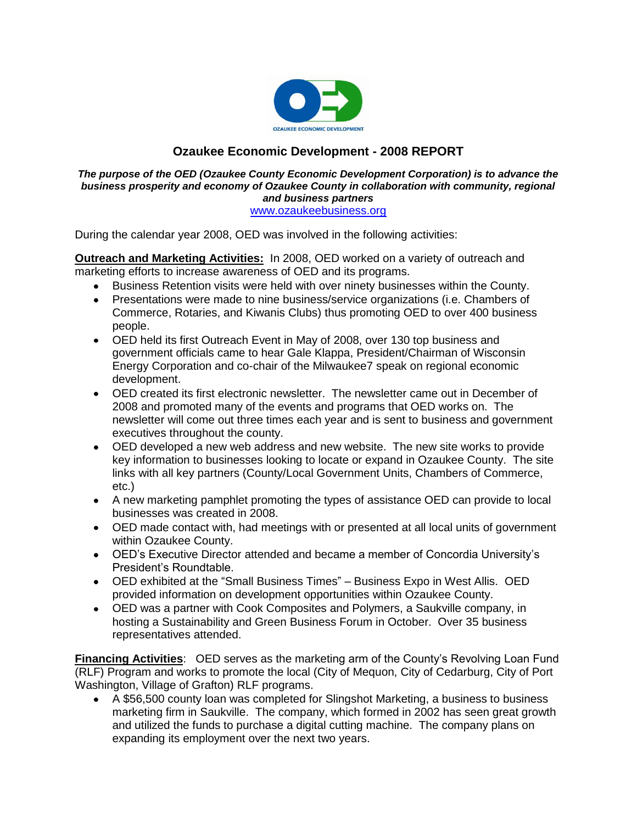

# **Ozaukee Economic Development - 2008 REPORT**

#### *The purpose of the OED (Ozaukee County Economic Development Corporation) is to advance the business prosperity and economy of Ozaukee County in collaboration with community, regional and business partners* [www.ozaukeebusiness.org](http://www.ozaukeebusiness.org/)

During the calendar year 2008, OED was involved in the following activities:

**Outreach and Marketing Activities:** In 2008, OED worked on a variety of outreach and marketing efforts to increase awareness of OED and its programs.

- Business Retention visits were held with over ninety businesses within the County.
- Presentations were made to nine business/service organizations (i.e. Chambers of Commerce, Rotaries, and Kiwanis Clubs) thus promoting OED to over 400 business people.
- OED held its first Outreach Event in May of 2008, over 130 top business and government officials came to hear Gale Klappa, President/Chairman of Wisconsin Energy Corporation and co-chair of the Milwaukee7 speak on regional economic development.
- OED created its first electronic newsletter. The newsletter came out in December of 2008 and promoted many of the events and programs that OED works on. The newsletter will come out three times each year and is sent to business and government executives throughout the county.
- OED developed a new web address and new website. The new site works to provide key information to businesses looking to locate or expand in Ozaukee County. The site links with all key partners (County/Local Government Units, Chambers of Commerce, etc.)
- A new marketing pamphlet promoting the types of assistance OED can provide to local businesses was created in 2008.
- OED made contact with, had meetings with or presented at all local units of government within Ozaukee County.
- OED's Executive Director attended and became a member of Concordia University's President's Roundtable.
- OED exhibited at the "Small Business Times" Business Expo in West Allis. OED provided information on development opportunities within Ozaukee County.
- OED was a partner with Cook Composites and Polymers, a Saukville company, in hosting a Sustainability and Green Business Forum in October. Over 35 business representatives attended.

**Financing Activities**: OED serves as the marketing arm of the County's Revolving Loan Fund (RLF) Program and works to promote the local (City of Mequon, City of Cedarburg, City of Port Washington, Village of Grafton) RLF programs.

A \$56,500 county loan was completed for Slingshot Marketing, a business to business  $\bullet$ marketing firm in Saukville. The company, which formed in 2002 has seen great growth and utilized the funds to purchase a digital cutting machine. The company plans on expanding its employment over the next two years.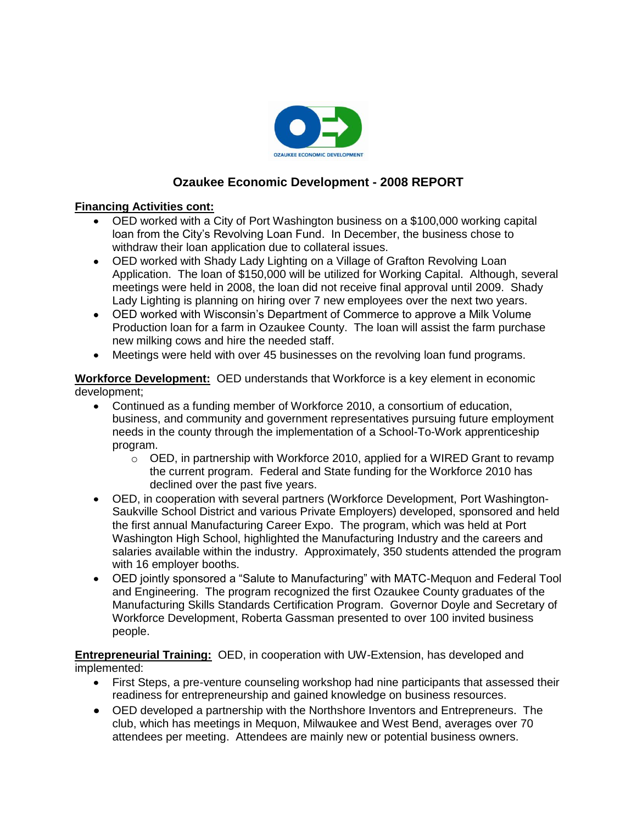

# **Ozaukee Economic Development - 2008 REPORT**

## **Financing Activities cont:**

- OED worked with a City of Port Washington business on a \$100,000 working capital loan from the City's Revolving Loan Fund. In December, the business chose to withdraw their loan application due to collateral issues.
- OED worked with Shady Lady Lighting on a Village of Grafton Revolving Loan Application. The loan of \$150,000 will be utilized for Working Capital. Although, several meetings were held in 2008, the loan did not receive final approval until 2009. Shady Lady Lighting is planning on hiring over 7 new employees over the next two years.
- OED worked with Wisconsin's Department of Commerce to approve a Milk Volume Production loan for a farm in Ozaukee County. The loan will assist the farm purchase new milking cows and hire the needed staff.
- Meetings were held with over 45 businesses on the revolving loan fund programs.  $\bullet$

**Workforce Development:** OED understands that Workforce is a key element in economic development;

- Continued as a funding member of Workforce 2010, a consortium of education, business, and community and government representatives pursuing future employment needs in the county through the implementation of a School-To-Work apprenticeship program.
	- $\circ$  OED, in partnership with Workforce 2010, applied for a WIRED Grant to revamp the current program. Federal and State funding for the Workforce 2010 has declined over the past five years.
- OED, in cooperation with several partners (Workforce Development, Port Washington-Saukville School District and various Private Employers) developed, sponsored and held the first annual Manufacturing Career Expo. The program, which was held at Port Washington High School, highlighted the Manufacturing Industry and the careers and salaries available within the industry. Approximately, 350 students attended the program with 16 employer booths.
- OED jointly sponsored a "Salute to Manufacturing" with MATC-Mequon and Federal Tool and Engineering. The program recognized the first Ozaukee County graduates of the Manufacturing Skills Standards Certification Program. Governor Doyle and Secretary of Workforce Development, Roberta Gassman presented to over 100 invited business people.

**Entrepreneurial Training:** OED, in cooperation with UW-Extension, has developed and implemented:

- First Steps, a pre-venture counseling workshop had nine participants that assessed their readiness for entrepreneurship and gained knowledge on business resources.
- OED developed a partnership with the Northshore Inventors and Entrepreneurs. The club, which has meetings in Mequon, Milwaukee and West Bend, averages over 70 attendees per meeting. Attendees are mainly new or potential business owners.